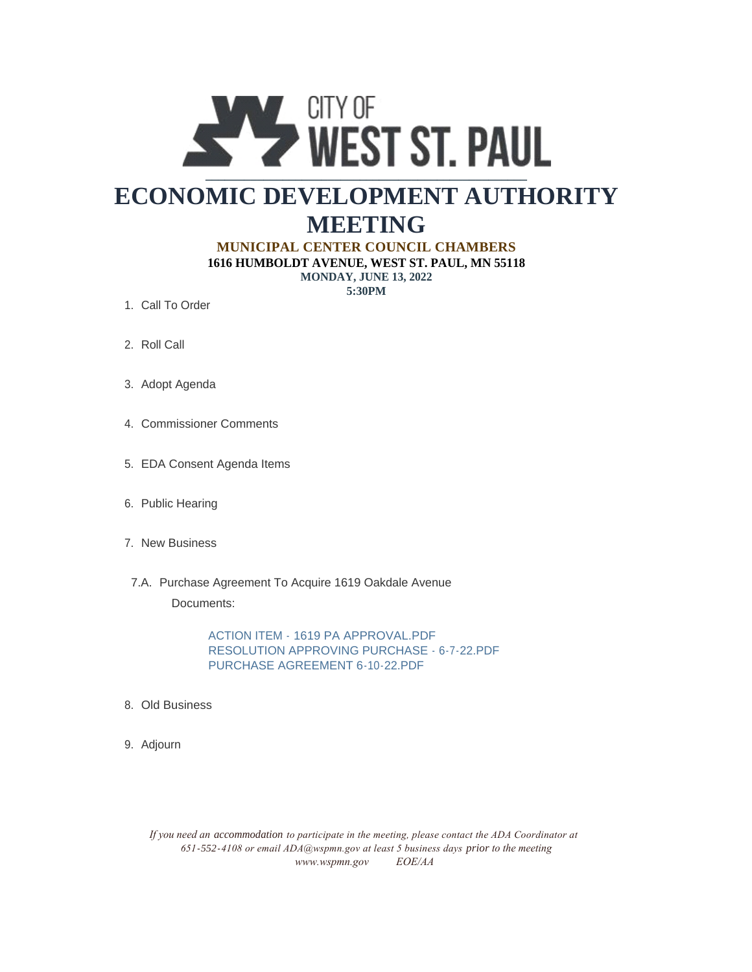

# **ECONOMIC DEVELOPMENT AUTHORITY MEETING**

#### **MUNICIPAL CENTER COUNCIL CHAMBERS**

**1616 HUMBOLDT AVENUE, WEST ST. PAUL, MN 55118 MONDAY, JUNE 13, 2022**

**5:30PM**

- 1. Call To Order
- 2. Roll Call
- 3. Adopt Agenda
- 4. Commissioner Comments
- EDA Consent Agenda Items 5.
- 6. Public Hearing
- 7. New Business
- 7.A. Purchase Agreement To Acquire 1619 Oakdale Avenue

Documents:

ACTION ITEM - 1619 PA APPROVAL.PDF RESOLUTION APPROVING PURCHASE - 6-7-22.PDF PURCHASE AGREEMENT 6-10-22.PDF

- Old Business 8.
- 9. Adjourn

*If you need an accommodation to participate in the meeting, please contact the ADA Coordinator at 651-552-4108 or email ADA@wspmn.gov at least 5 business days prior to the meeting www.wspmn.gov EOE/AA*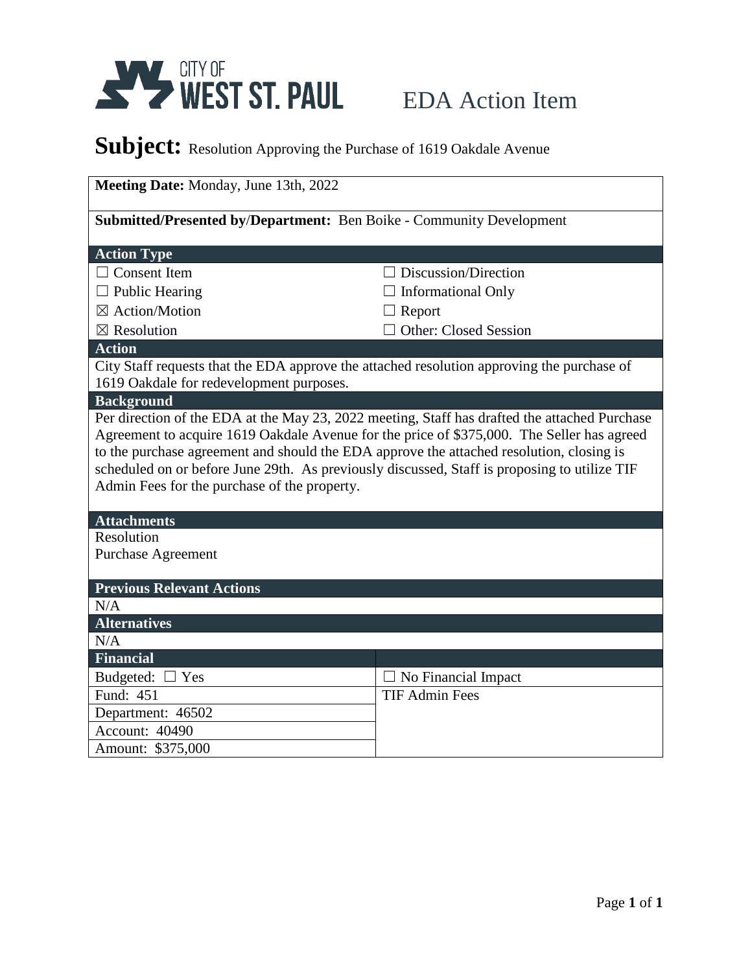

# Subject: Resolution Approving the Purchase of 1619 Oakdale Avenue

| Meeting Date: Monday, June 13th, 2022                                                         |                              |  |
|-----------------------------------------------------------------------------------------------|------------------------------|--|
| Submitted/Presented by/Department: Ben Boike - Community Development                          |                              |  |
| <b>Action Type</b>                                                                            |                              |  |
| $\Box$ Consent Item                                                                           | Discussion/Direction         |  |
| $\Box$ Public Hearing                                                                         | <b>Informational Only</b>    |  |
| ⊠ Action/Motion                                                                               | Report                       |  |
| $\boxtimes$ Resolution                                                                        | <b>Other: Closed Session</b> |  |
| <b>Action</b>                                                                                 |                              |  |
| City Staff requests that the EDA approve the attached resolution approving the purchase of    |                              |  |
| 1619 Oakdale for redevelopment purposes.                                                      |                              |  |
| <b>Background</b>                                                                             |                              |  |
| Per direction of the EDA at the May 23, 2022 meeting, Staff has drafted the attached Purchase |                              |  |
| Agreement to acquire 1619 Oakdale Avenue for the price of \$375,000. The Seller has agreed    |                              |  |
| to the purchase agreement and should the EDA approve the attached resolution, closing is      |                              |  |
| scheduled on or before June 29th. As previously discussed, Staff is proposing to utilize TIF  |                              |  |
| Admin Fees for the purchase of the property.                                                  |                              |  |
| <b>Attachments</b>                                                                            |                              |  |
| Resolution                                                                                    |                              |  |
| <b>Purchase Agreement</b>                                                                     |                              |  |
|                                                                                               |                              |  |
| <b>Previous Relevant Actions</b>                                                              |                              |  |
| N/A                                                                                           |                              |  |
| <b>Alternatives</b>                                                                           |                              |  |
| N/A                                                                                           |                              |  |
| <b>Financial</b>                                                                              |                              |  |
| Budgeted: $\Box$ Yes                                                                          | No Financial Impact          |  |
| Fund: 451                                                                                     | <b>TIF Admin Fees</b>        |  |
| Department: 46502                                                                             |                              |  |
| Account: 40490                                                                                |                              |  |
| Amount: \$375,000                                                                             |                              |  |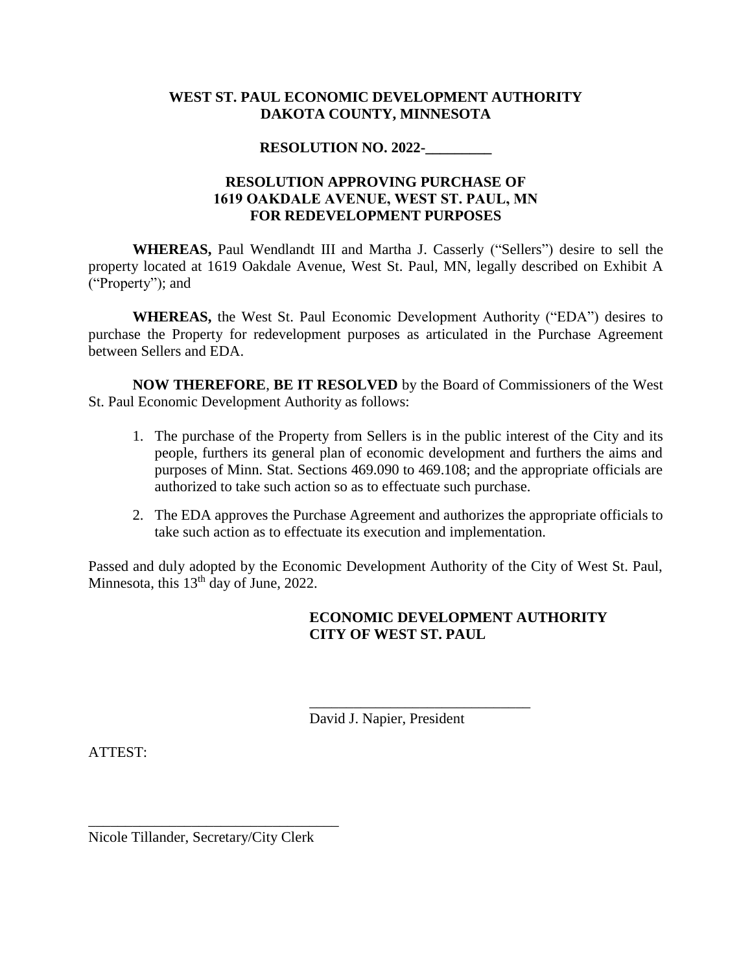#### **WEST ST. PAUL ECONOMIC DEVELOPMENT AUTHORITY DAKOTA COUNTY, MINNESOTA**

# **RESOLUTION NO. 2022-\_\_\_\_\_\_\_\_\_**

# **RESOLUTION APPROVING PURCHASE OF 1619 OAKDALE AVENUE, WEST ST. PAUL, MN FOR REDEVELOPMENT PURPOSES**

**WHEREAS,** Paul Wendlandt III and Martha J. Casserly ("Sellers") desire to sell the property located at 1619 Oakdale Avenue, West St. Paul, MN, legally described on Exhibit A ("Property"); and

**WHEREAS,** the West St. Paul Economic Development Authority ("EDA") desires to purchase the Property for redevelopment purposes as articulated in the Purchase Agreement between Sellers and EDA.

**NOW THEREFORE**, **BE IT RESOLVED** by the Board of Commissioners of the West St. Paul Economic Development Authority as follows:

- 1. The purchase of the Property from Sellers is in the public interest of the City and its people, furthers its general plan of economic development and furthers the aims and purposes of Minn. Stat. Sections 469.090 to 469.108; and the appropriate officials are authorized to take such action so as to effectuate such purchase.
- 2. The EDA approves the Purchase Agreement and authorizes the appropriate officials to take such action as to effectuate its execution and implementation.

Passed and duly adopted by the Economic Development Authority of the City of West St. Paul, Minnesota, this 13<sup>th</sup> day of June, 2022.

# **ECONOMIC DEVELOPMENT AUTHORITY CITY OF WEST ST. PAUL**

David J. Napier, President

\_\_\_\_\_\_\_\_\_\_\_\_\_\_\_\_\_\_\_\_\_\_\_\_\_\_\_\_\_\_

ATTEST:

Nicole Tillander, Secretary/City Clerk

\_\_\_\_\_\_\_\_\_\_\_\_\_\_\_\_\_\_\_\_\_\_\_\_\_\_\_\_\_\_\_\_\_\_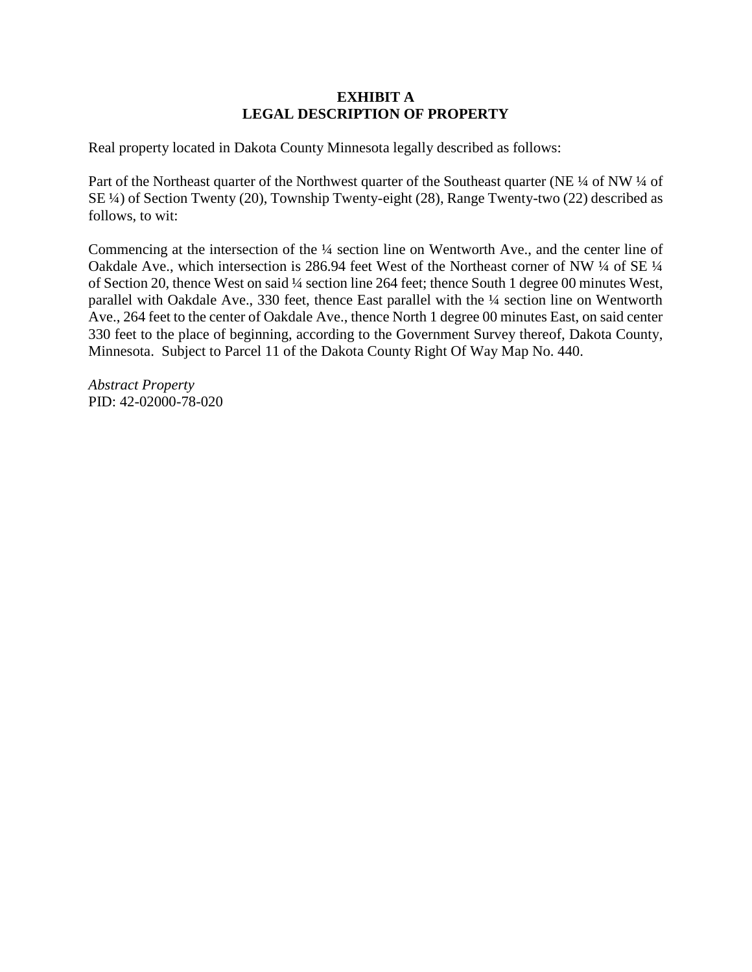#### **EXHIBIT A LEGAL DESCRIPTION OF PROPERTY**

Real property located in Dakota County Minnesota legally described as follows:

Part of the Northeast quarter of the Northwest quarter of the Southeast quarter (NE ¼ of NW ¼ of SE ¼) of Section Twenty (20), Township Twenty-eight (28), Range Twenty-two (22) described as follows, to wit:

Commencing at the intersection of the ¼ section line on Wentworth Ave., and the center line of Oakdale Ave., which intersection is 286.94 feet West of the Northeast corner of NW ¼ of SE ¼ of Section 20, thence West on said ¼ section line 264 feet; thence South 1 degree 00 minutes West, parallel with Oakdale Ave., 330 feet, thence East parallel with the ¼ section line on Wentworth Ave., 264 feet to the center of Oakdale Ave., thence North 1 degree 00 minutes East, on said center 330 feet to the place of beginning, according to the Government Survey thereof, Dakota County, Minnesota. Subject to Parcel 11 of the Dakota County Right Of Way Map No. 440.

*Abstract Property* PID: 42-02000-78-020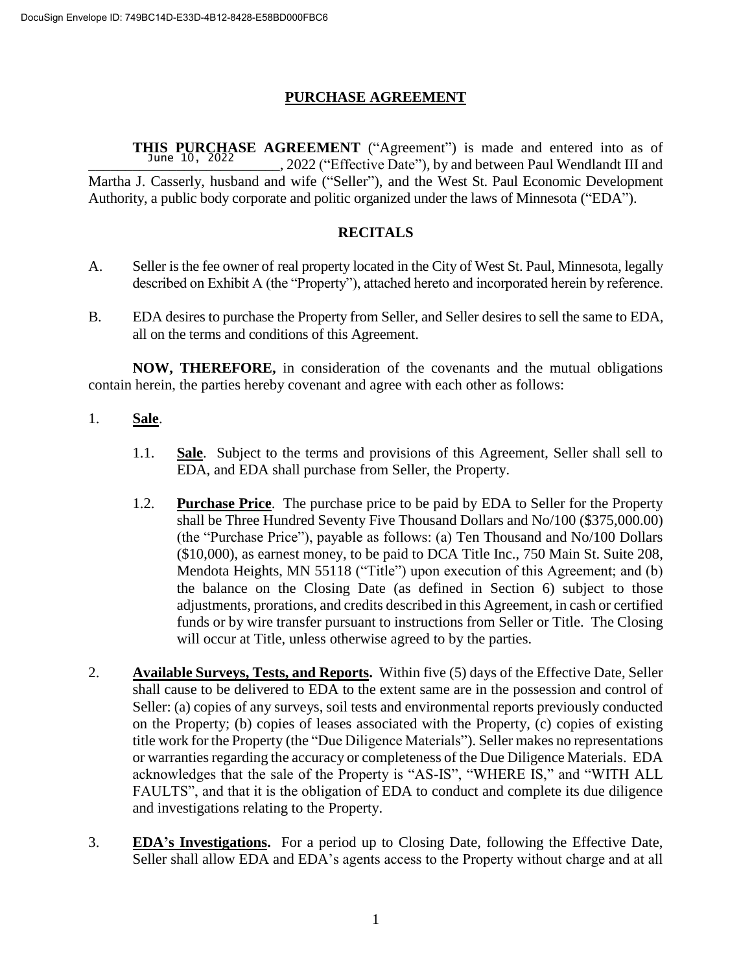# **PURCHASE AGREEMENT**

**THIS PURCHASE AGREEMENT** ("Agreement") is made and entered into as of June 10, 2022 \_\_\_\_\_\_\_\_\_\_\_\_\_\_\_\_\_\_\_\_\_\_\_\_\_\_, 2022 ("Effective Date"), by and between Paul Wendlandt III and Martha J. Casserly, husband and wife ("Seller"), and the West St. Paul Economic Development Authority, a public body corporate and politic organized under the laws of Minnesota ("EDA").

# **RECITALS**

- A. Seller is the fee owner of real property located in the City of West St. Paul, Minnesota, legally described on Exhibit A (the "Property"), attached hereto and incorporated herein by reference.
- B. EDA desires to purchase the Property from Seller, and Seller desires to sell the same to EDA, all on the terms and conditions of this Agreement.

**NOW, THEREFORE,** in consideration of the covenants and the mutual obligations contain herein, the parties hereby covenant and agree with each other as follows:

- 1. **Sale**.
	- 1.1. **Sale**. Subject to the terms and provisions of this Agreement, Seller shall sell to EDA, and EDA shall purchase from Seller, the Property.
	- 1.2. **Purchase Price**. The purchase price to be paid by EDA to Seller for the Property shall be Three Hundred Seventy Five Thousand Dollars and No/100 (\$375,000.00) (the "Purchase Price"), payable as follows: (a) Ten Thousand and No/100 Dollars (\$10,000), as earnest money, to be paid to DCA Title Inc., 750 Main St. Suite 208, Mendota Heights, MN 55118 ("Title") upon execution of this Agreement; and (b) the balance on the Closing Date (as defined in Section 6) subject to those adjustments, prorations, and credits described in this Agreement, in cash or certified funds or by wire transfer pursuant to instructions from Seller or Title. The Closing will occur at Title, unless otherwise agreed to by the parties.
- 2. **Available Surveys, Tests, and Reports.** Within five (5) days of the Effective Date, Seller shall cause to be delivered to EDA to the extent same are in the possession and control of Seller: (a) copies of any surveys, soil tests and environmental reports previously conducted on the Property; (b) copies of leases associated with the Property, (c) copies of existing title work for the Property (the "Due Diligence Materials"). Seller makes no representations or warranties regarding the accuracy or completeness of the Due Diligence Materials. EDA acknowledges that the sale of the Property is "AS-IS", "WHERE IS," and "WITH ALL FAULTS", and that it is the obligation of EDA to conduct and complete its due diligence and investigations relating to the Property.
- 3. **EDA's Investigations.** For a period up to Closing Date, following the Effective Date, Seller shall allow EDA and EDA's agents access to the Property without charge and at all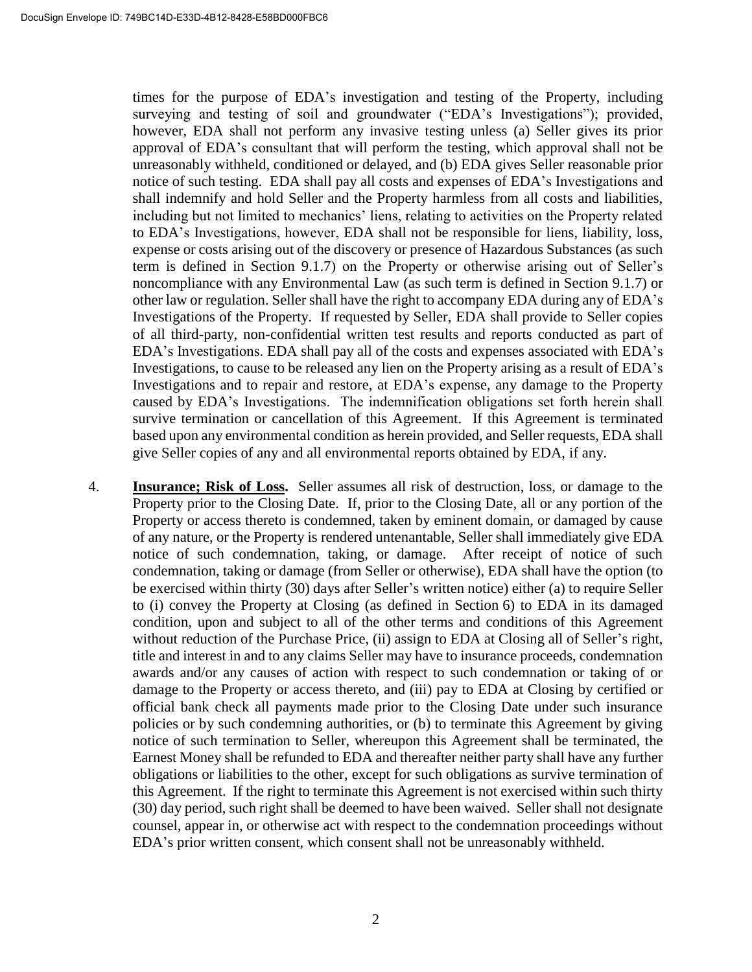times for the purpose of EDA's investigation and testing of the Property, including surveying and testing of soil and groundwater ("EDA's Investigations"); provided, however, EDA shall not perform any invasive testing unless (a) Seller gives its prior approval of EDA's consultant that will perform the testing, which approval shall not be unreasonably withheld, conditioned or delayed, and (b) EDA gives Seller reasonable prior notice of such testing. EDA shall pay all costs and expenses of EDA's Investigations and shall indemnify and hold Seller and the Property harmless from all costs and liabilities, including but not limited to mechanics' liens, relating to activities on the Property related to EDA's Investigations, however, EDA shall not be responsible for liens, liability, loss, expense or costs arising out of the discovery or presence of Hazardous Substances (as such term is defined in Section 9.1.7) on the Property or otherwise arising out of Seller's noncompliance with any Environmental Law (as such term is defined in Section 9.1.7) or other law or regulation. Seller shall have the right to accompany EDA during any of EDA's Investigations of the Property. If requested by Seller, EDA shall provide to Seller copies of all third-party, non-confidential written test results and reports conducted as part of EDA's Investigations. EDA shall pay all of the costs and expenses associated with EDA's Investigations, to cause to be released any lien on the Property arising as a result of EDA's Investigations and to repair and restore, at EDA's expense, any damage to the Property caused by EDA's Investigations. The indemnification obligations set forth herein shall survive termination or cancellation of this Agreement. If this Agreement is terminated based upon any environmental condition as herein provided, and Seller requests, EDA shall give Seller copies of any and all environmental reports obtained by EDA, if any.

4. **Insurance; Risk of Loss.** Seller assumes all risk of destruction, loss, or damage to the Property prior to the Closing Date. If, prior to the Closing Date, all or any portion of the Property or access thereto is condemned, taken by eminent domain, or damaged by cause of any nature, or the Property is rendered untenantable, Seller shall immediately give EDA notice of such condemnation, taking, or damage. After receipt of notice of such condemnation, taking or damage (from Seller or otherwise), EDA shall have the option (to be exercised within thirty (30) days after Seller's written notice) either (a) to require Seller to (i) convey the Property at Closing (as defined in Section 6) to EDA in its damaged condition, upon and subject to all of the other terms and conditions of this Agreement without reduction of the Purchase Price, (ii) assign to EDA at Closing all of Seller's right, title and interest in and to any claims Seller may have to insurance proceeds, condemnation awards and/or any causes of action with respect to such condemnation or taking of or damage to the Property or access thereto, and (iii) pay to EDA at Closing by certified or official bank check all payments made prior to the Closing Date under such insurance policies or by such condemning authorities, or (b) to terminate this Agreement by giving notice of such termination to Seller, whereupon this Agreement shall be terminated, the Earnest Money shall be refunded to EDA and thereafter neither party shall have any further obligations or liabilities to the other, except for such obligations as survive termination of this Agreement. If the right to terminate this Agreement is not exercised within such thirty (30) day period, such right shall be deemed to have been waived. Seller shall not designate counsel, appear in, or otherwise act with respect to the condemnation proceedings without EDA's prior written consent, which consent shall not be unreasonably withheld.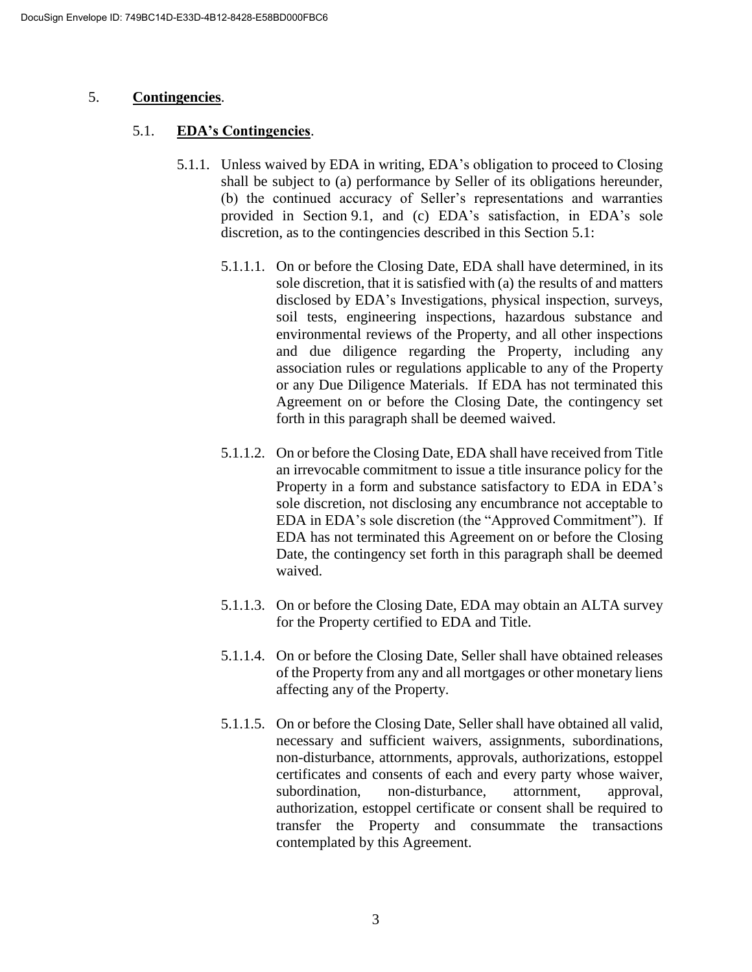#### 5. **Contingencies**.

#### 5.1. **EDA's Contingencies**.

- 5.1.1. Unless waived by EDA in writing, EDA's obligation to proceed to Closing shall be subject to (a) performance by Seller of its obligations hereunder, (b) the continued accuracy of Seller's representations and warranties provided in Section 9.1, and (c) EDA's satisfaction, in EDA's sole discretion, as to the contingencies described in this Section 5.1:
	- 5.1.1.1. On or before the Closing Date, EDA shall have determined, in its sole discretion, that it is satisfied with (a) the results of and matters disclosed by EDA's Investigations, physical inspection, surveys, soil tests, engineering inspections, hazardous substance and environmental reviews of the Property, and all other inspections and due diligence regarding the Property, including any association rules or regulations applicable to any of the Property or any Due Diligence Materials. If EDA has not terminated this Agreement on or before the Closing Date, the contingency set forth in this paragraph shall be deemed waived.
	- 5.1.1.2. On or before the Closing Date, EDA shall have received from Title an irrevocable commitment to issue a title insurance policy for the Property in a form and substance satisfactory to EDA in EDA's sole discretion, not disclosing any encumbrance not acceptable to EDA in EDA's sole discretion (the "Approved Commitment"). If EDA has not terminated this Agreement on or before the Closing Date, the contingency set forth in this paragraph shall be deemed waived.
	- 5.1.1.3. On or before the Closing Date, EDA may obtain an ALTA survey for the Property certified to EDA and Title.
	- 5.1.1.4. On or before the Closing Date, Seller shall have obtained releases of the Property from any and all mortgages or other monetary liens affecting any of the Property.
	- 5.1.1.5. On or before the Closing Date, Seller shall have obtained all valid, necessary and sufficient waivers, assignments, subordinations, non-disturbance, attornments, approvals, authorizations, estoppel certificates and consents of each and every party whose waiver, subordination, non-disturbance, attornment, approval, authorization, estoppel certificate or consent shall be required to transfer the Property and consummate the transactions contemplated by this Agreement.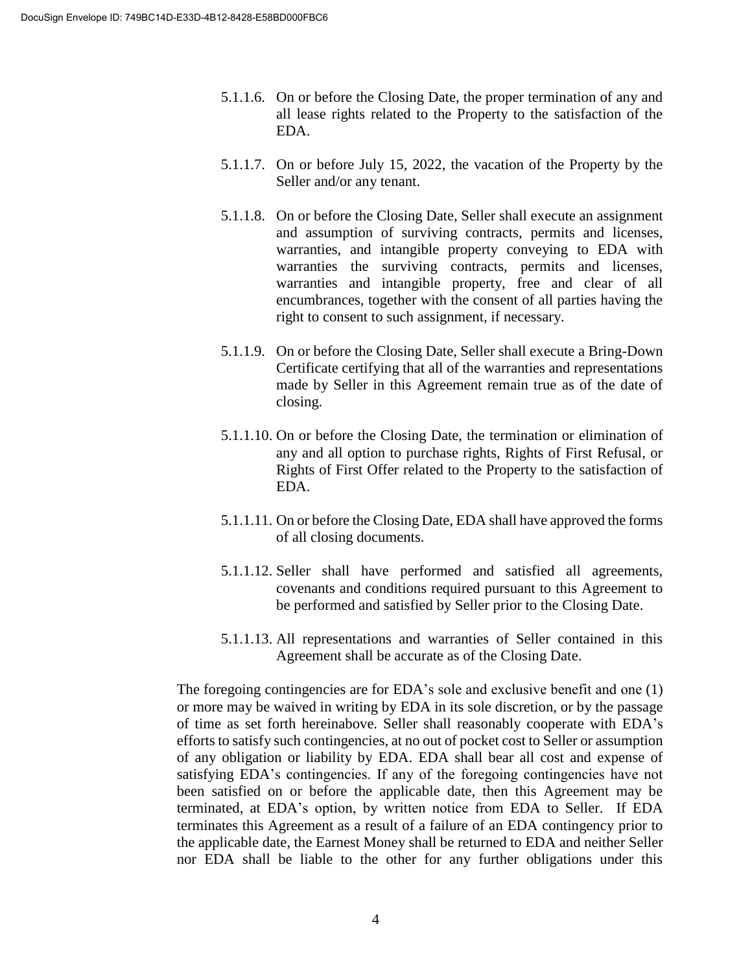- 5.1.1.6. On or before the Closing Date, the proper termination of any and all lease rights related to the Property to the satisfaction of the EDA.
- 5.1.1.7. On or before July 15, 2022, the vacation of the Property by the Seller and/or any tenant.
- 5.1.1.8. On or before the Closing Date, Seller shall execute an assignment and assumption of surviving contracts, permits and licenses, warranties, and intangible property conveying to EDA with warranties the surviving contracts, permits and licenses, warranties and intangible property, free and clear of all encumbrances, together with the consent of all parties having the right to consent to such assignment, if necessary.
- 5.1.1.9. On or before the Closing Date, Seller shall execute a Bring-Down Certificate certifying that all of the warranties and representations made by Seller in this Agreement remain true as of the date of closing.
- 5.1.1.10. On or before the Closing Date, the termination or elimination of any and all option to purchase rights, Rights of First Refusal, or Rights of First Offer related to the Property to the satisfaction of EDA.
- 5.1.1.11. On or before the Closing Date, EDA shall have approved the forms of all closing documents.
- 5.1.1.12. Seller shall have performed and satisfied all agreements, covenants and conditions required pursuant to this Agreement to be performed and satisfied by Seller prior to the Closing Date.
- 5.1.1.13. All representations and warranties of Seller contained in this Agreement shall be accurate as of the Closing Date.

The foregoing contingencies are for EDA's sole and exclusive benefit and one (1) or more may be waived in writing by EDA in its sole discretion, or by the passage of time as set forth hereinabove. Seller shall reasonably cooperate with EDA's efforts to satisfy such contingencies, at no out of pocket cost to Seller or assumption of any obligation or liability by EDA. EDA shall bear all cost and expense of satisfying EDA's contingencies. If any of the foregoing contingencies have not been satisfied on or before the applicable date, then this Agreement may be terminated, at EDA's option, by written notice from EDA to Seller. If EDA terminates this Agreement as a result of a failure of an EDA contingency prior to the applicable date, the Earnest Money shall be returned to EDA and neither Seller nor EDA shall be liable to the other for any further obligations under this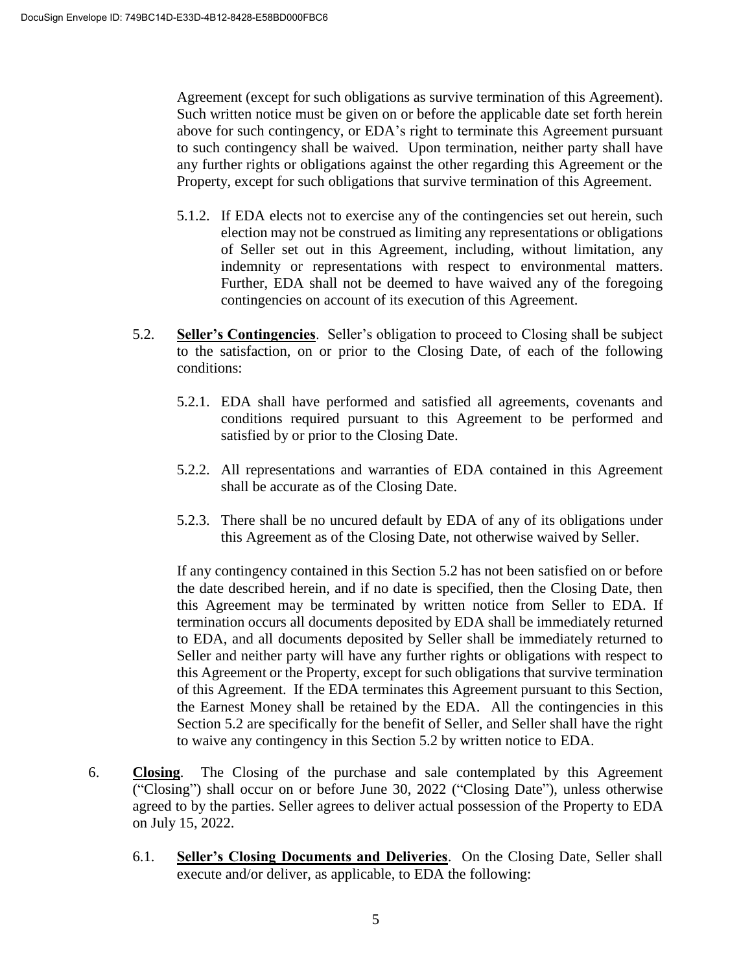Agreement (except for such obligations as survive termination of this Agreement). Such written notice must be given on or before the applicable date set forth herein above for such contingency, or EDA's right to terminate this Agreement pursuant to such contingency shall be waived. Upon termination, neither party shall have any further rights or obligations against the other regarding this Agreement or the Property, except for such obligations that survive termination of this Agreement.

- 5.1.2. If EDA elects not to exercise any of the contingencies set out herein, such election may not be construed as limiting any representations or obligations of Seller set out in this Agreement, including, without limitation, any indemnity or representations with respect to environmental matters. Further, EDA shall not be deemed to have waived any of the foregoing contingencies on account of its execution of this Agreement.
- 5.2. **Seller's Contingencies**. Seller's obligation to proceed to Closing shall be subject to the satisfaction, on or prior to the Closing Date, of each of the following conditions:
	- 5.2.1. EDA shall have performed and satisfied all agreements, covenants and conditions required pursuant to this Agreement to be performed and satisfied by or prior to the Closing Date.
	- 5.2.2. All representations and warranties of EDA contained in this Agreement shall be accurate as of the Closing Date.
	- 5.2.3. There shall be no uncured default by EDA of any of its obligations under this Agreement as of the Closing Date, not otherwise waived by Seller.

If any contingency contained in this Section 5.2 has not been satisfied on or before the date described herein, and if no date is specified, then the Closing Date, then this Agreement may be terminated by written notice from Seller to EDA. If termination occurs all documents deposited by EDA shall be immediately returned to EDA, and all documents deposited by Seller shall be immediately returned to Seller and neither party will have any further rights or obligations with respect to this Agreement or the Property, except for such obligations that survive termination of this Agreement. If the EDA terminates this Agreement pursuant to this Section, the Earnest Money shall be retained by the EDA. All the contingencies in this Section 5.2 are specifically for the benefit of Seller, and Seller shall have the right to waive any contingency in this Section 5.2 by written notice to EDA.

- 6. **Closing**. The Closing of the purchase and sale contemplated by this Agreement ("Closing") shall occur on or before June 30, 2022 ("Closing Date"), unless otherwise agreed to by the parties. Seller agrees to deliver actual possession of the Property to EDA on July 15, 2022.
	- 6.1. **Seller's Closing Documents and Deliveries**. On the Closing Date, Seller shall execute and/or deliver, as applicable, to EDA the following: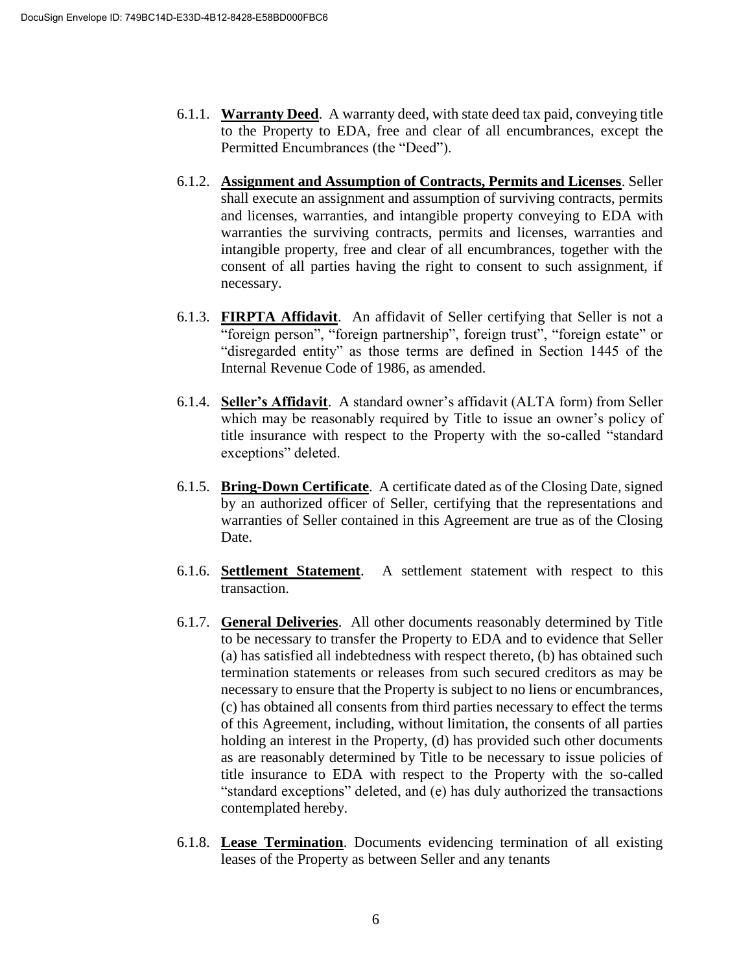- 6.1.1. **Warranty Deed**. A warranty deed, with state deed tax paid, conveying title to the Property to EDA, free and clear of all encumbrances, except the Permitted Encumbrances (the "Deed").
- 6.1.2. **Assignment and Assumption of Contracts, Permits and Licenses**. Seller shall execute an assignment and assumption of surviving contracts, permits and licenses, warranties, and intangible property conveying to EDA with warranties the surviving contracts, permits and licenses, warranties and intangible property, free and clear of all encumbrances, together with the consent of all parties having the right to consent to such assignment, if necessary.
- 6.1.3. **FIRPTA Affidavit**. An affidavit of Seller certifying that Seller is not a "foreign person", "foreign partnership", foreign trust", "foreign estate" or "disregarded entity" as those terms are defined in Section 1445 of the Internal Revenue Code of 1986, as amended.
- 6.1.4. **Seller's Affidavit**. A standard owner's affidavit (ALTA form) from Seller which may be reasonably required by Title to issue an owner's policy of title insurance with respect to the Property with the so-called "standard exceptions" deleted.
- 6.1.5. **Bring-Down Certificate**. A certificate dated as of the Closing Date, signed by an authorized officer of Seller, certifying that the representations and warranties of Seller contained in this Agreement are true as of the Closing Date.
- 6.1.6. **Settlement Statement**. A settlement statement with respect to this transaction.
- 6.1.7. **General Deliveries**. All other documents reasonably determined by Title to be necessary to transfer the Property to EDA and to evidence that Seller (a) has satisfied all indebtedness with respect thereto, (b) has obtained such termination statements or releases from such secured creditors as may be necessary to ensure that the Property is subject to no liens or encumbrances, (c) has obtained all consents from third parties necessary to effect the terms of this Agreement, including, without limitation, the consents of all parties holding an interest in the Property, (d) has provided such other documents as are reasonably determined by Title to be necessary to issue policies of title insurance to EDA with respect to the Property with the so-called "standard exceptions" deleted, and (e) has duly authorized the transactions contemplated hereby.
- 6.1.8. **Lease Termination**. Documents evidencing termination of all existing leases of the Property as between Seller and any tenants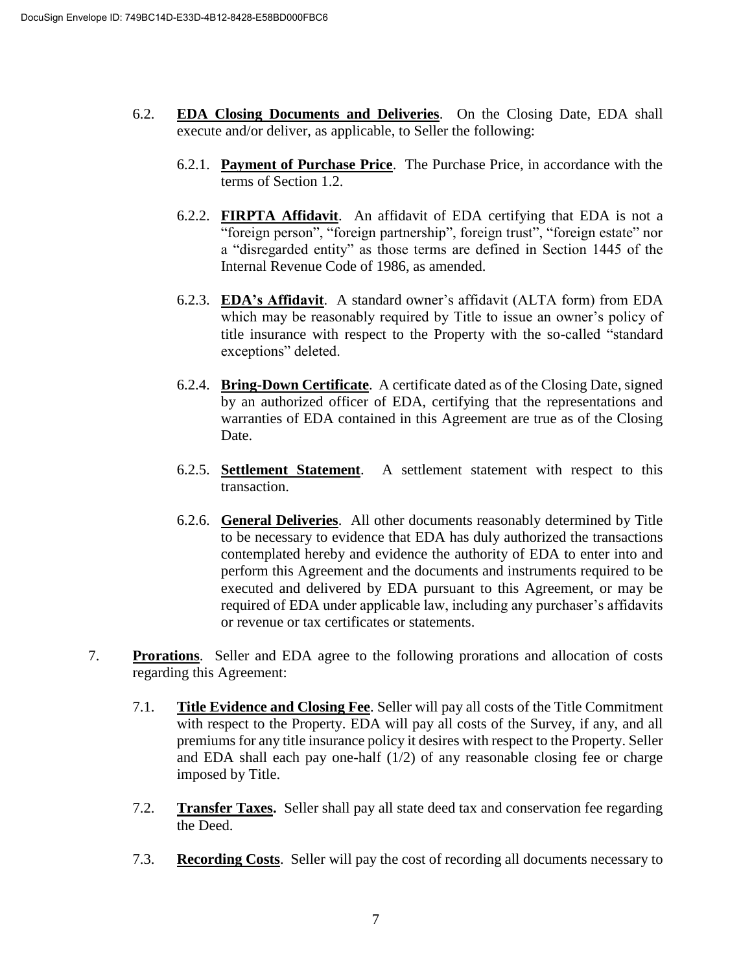- 6.2. **EDA Closing Documents and Deliveries**. On the Closing Date, EDA shall execute and/or deliver, as applicable, to Seller the following:
	- 6.2.1. **Payment of Purchase Price**. The Purchase Price, in accordance with the terms of Section 1.2.
	- 6.2.2. **FIRPTA Affidavit**. An affidavit of EDA certifying that EDA is not a "foreign person", "foreign partnership", foreign trust", "foreign estate" nor a "disregarded entity" as those terms are defined in Section 1445 of the Internal Revenue Code of 1986, as amended.
	- 6.2.3. **EDA's Affidavit**. A standard owner's affidavit (ALTA form) from EDA which may be reasonably required by Title to issue an owner's policy of title insurance with respect to the Property with the so-called "standard exceptions" deleted.
	- 6.2.4. **Bring-Down Certificate**. A certificate dated as of the Closing Date, signed by an authorized officer of EDA, certifying that the representations and warranties of EDA contained in this Agreement are true as of the Closing Date.
	- 6.2.5. **Settlement Statement**. A settlement statement with respect to this transaction.
	- 6.2.6. **General Deliveries**. All other documents reasonably determined by Title to be necessary to evidence that EDA has duly authorized the transactions contemplated hereby and evidence the authority of EDA to enter into and perform this Agreement and the documents and instruments required to be executed and delivered by EDA pursuant to this Agreement, or may be required of EDA under applicable law, including any purchaser's affidavits or revenue or tax certificates or statements.
- 7. **Prorations**. Seller and EDA agree to the following prorations and allocation of costs regarding this Agreement:
	- 7.1. **Title Evidence and Closing Fee**. Seller will pay all costs of the Title Commitment with respect to the Property. EDA will pay all costs of the Survey, if any, and all premiums for any title insurance policy it desires with respect to the Property. Seller and EDA shall each pay one-half  $(1/2)$  of any reasonable closing fee or charge imposed by Title.
	- 7.2. **Transfer Taxes.** Seller shall pay all state deed tax and conservation fee regarding the Deed.
	- 7.3. **Recording Costs**. Seller will pay the cost of recording all documents necessary to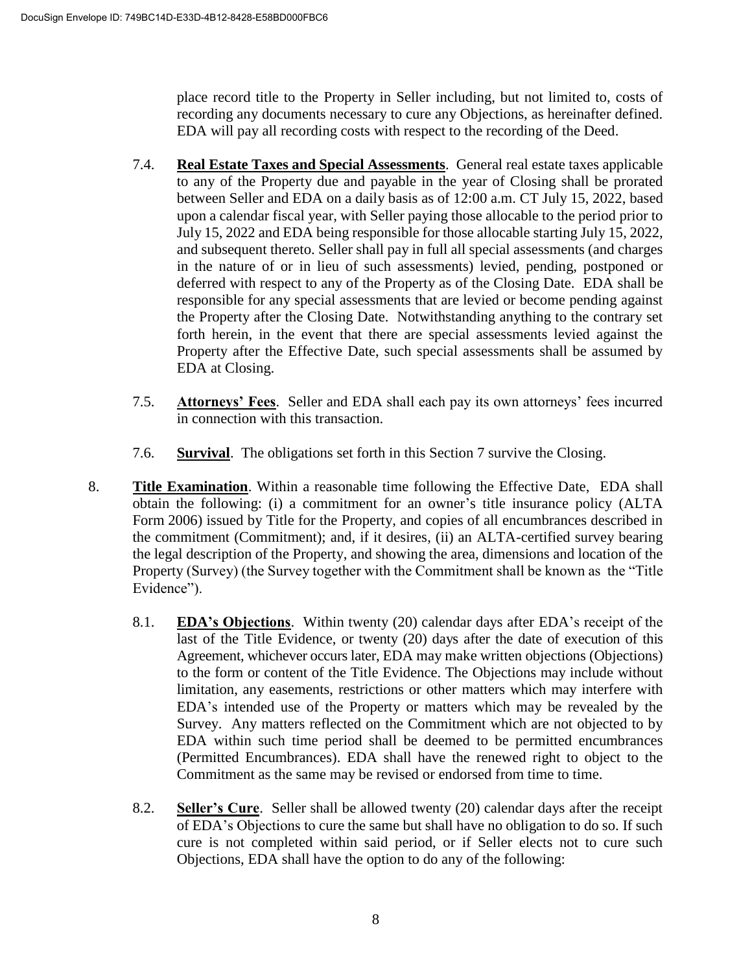place record title to the Property in Seller including, but not limited to, costs of recording any documents necessary to cure any Objections, as hereinafter defined. EDA will pay all recording costs with respect to the recording of the Deed.

- 7.4. **Real Estate Taxes and Special Assessments**. General real estate taxes applicable to any of the Property due and payable in the year of Closing shall be prorated between Seller and EDA on a daily basis as of 12:00 a.m. CT July 15, 2022, based upon a calendar fiscal year, with Seller paying those allocable to the period prior to July 15, 2022 and EDA being responsible for those allocable starting July 15, 2022, and subsequent thereto. Seller shall pay in full all special assessments (and charges in the nature of or in lieu of such assessments) levied, pending, postponed or deferred with respect to any of the Property as of the Closing Date. EDA shall be responsible for any special assessments that are levied or become pending against the Property after the Closing Date. Notwithstanding anything to the contrary set forth herein, in the event that there are special assessments levied against the Property after the Effective Date, such special assessments shall be assumed by EDA at Closing.
- 7.5. **Attorneys' Fees**. Seller and EDA shall each pay its own attorneys' fees incurred in connection with this transaction.
- 7.6. **Survival**. The obligations set forth in this Section 7 survive the Closing.
- 8. **Title Examination**. Within a reasonable time following the Effective Date, EDA shall obtain the following: (i) a commitment for an owner's title insurance policy (ALTA Form 2006) issued by Title for the Property, and copies of all encumbrances described in the commitment (Commitment); and, if it desires, (ii) an ALTA-certified survey bearing the legal description of the Property, and showing the area, dimensions and location of the Property (Survey) (the Survey together with the Commitment shall be known as the "Title Evidence").
	- 8.1. **EDA's Objections**. Within twenty (20) calendar days after EDA's receipt of the last of the Title Evidence, or twenty (20) days after the date of execution of this Agreement, whichever occurs later, EDA may make written objections (Objections) to the form or content of the Title Evidence. The Objections may include without limitation, any easements, restrictions or other matters which may interfere with EDA's intended use of the Property or matters which may be revealed by the Survey. Any matters reflected on the Commitment which are not objected to by EDA within such time period shall be deemed to be permitted encumbrances (Permitted Encumbrances). EDA shall have the renewed right to object to the Commitment as the same may be revised or endorsed from time to time.
	- 8.2. **Seller's Cure**. Seller shall be allowed twenty (20) calendar days after the receipt of EDA's Objections to cure the same but shall have no obligation to do so. If such cure is not completed within said period, or if Seller elects not to cure such Objections, EDA shall have the option to do any of the following: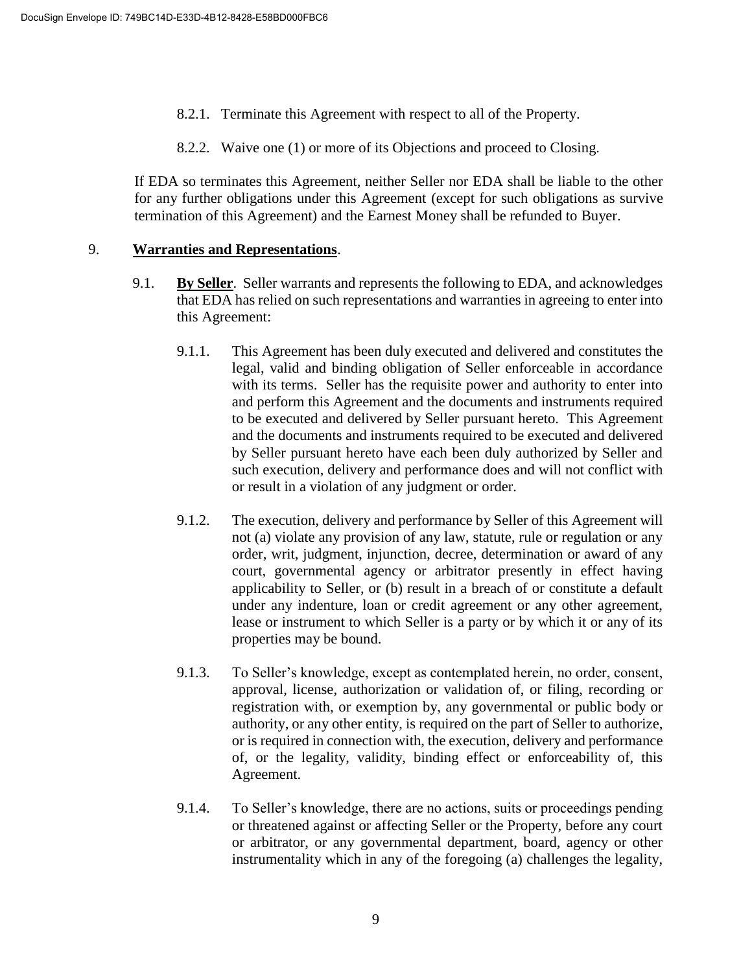- 8.2.1. Terminate this Agreement with respect to all of the Property.
- 8.2.2. Waive one (1) or more of its Objections and proceed to Closing.

If EDA so terminates this Agreement, neither Seller nor EDA shall be liable to the other for any further obligations under this Agreement (except for such obligations as survive termination of this Agreement) and the Earnest Money shall be refunded to Buyer.

#### 9. **Warranties and Representations**.

- 9.1. **By Seller**. Seller warrants and represents the following to EDA, and acknowledges that EDA has relied on such representations and warranties in agreeing to enter into this Agreement:
	- 9.1.1. This Agreement has been duly executed and delivered and constitutes the legal, valid and binding obligation of Seller enforceable in accordance with its terms. Seller has the requisite power and authority to enter into and perform this Agreement and the documents and instruments required to be executed and delivered by Seller pursuant hereto. This Agreement and the documents and instruments required to be executed and delivered by Seller pursuant hereto have each been duly authorized by Seller and such execution, delivery and performance does and will not conflict with or result in a violation of any judgment or order.
	- 9.1.2. The execution, delivery and performance by Seller of this Agreement will not (a) violate any provision of any law, statute, rule or regulation or any order, writ, judgment, injunction, decree, determination or award of any court, governmental agency or arbitrator presently in effect having applicability to Seller, or (b) result in a breach of or constitute a default under any indenture, loan or credit agreement or any other agreement, lease or instrument to which Seller is a party or by which it or any of its properties may be bound.
	- 9.1.3. To Seller's knowledge, except as contemplated herein, no order, consent, approval, license, authorization or validation of, or filing, recording or registration with, or exemption by, any governmental or public body or authority, or any other entity, is required on the part of Seller to authorize, or is required in connection with, the execution, delivery and performance of, or the legality, validity, binding effect or enforceability of, this Agreement.
	- 9.1.4. To Seller's knowledge, there are no actions, suits or proceedings pending or threatened against or affecting Seller or the Property, before any court or arbitrator, or any governmental department, board, agency or other instrumentality which in any of the foregoing (a) challenges the legality,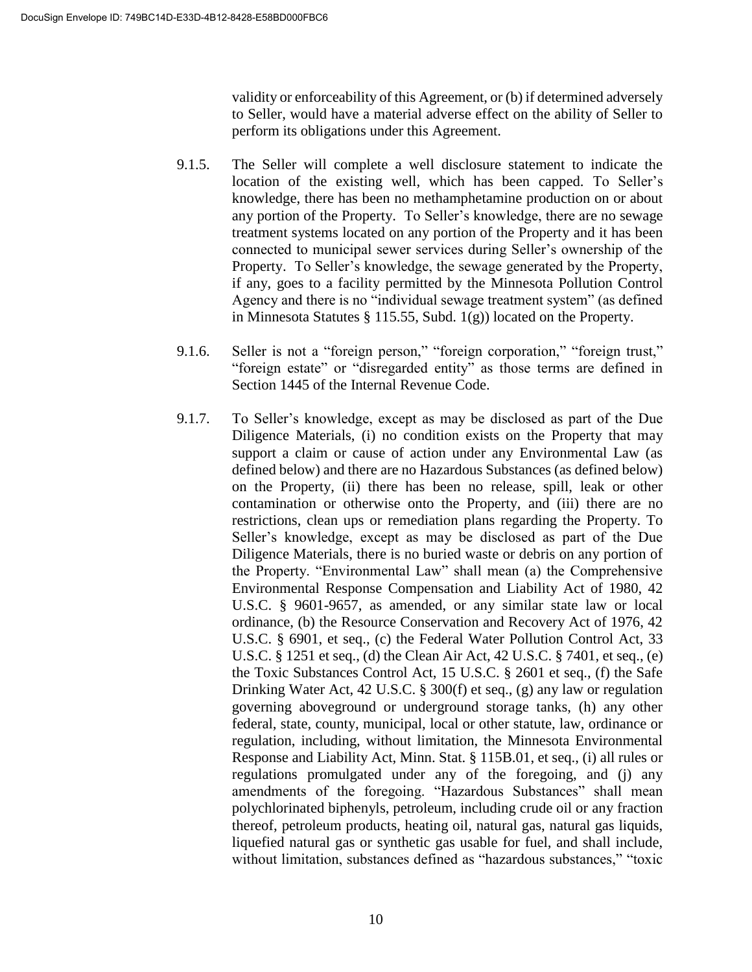validity or enforceability of this Agreement, or (b) if determined adversely to Seller, would have a material adverse effect on the ability of Seller to perform its obligations under this Agreement.

- 9.1.5. The Seller will complete a well disclosure statement to indicate the location of the existing well, which has been capped. To Seller's knowledge, there has been no methamphetamine production on or about any portion of the Property. To Seller's knowledge, there are no sewage treatment systems located on any portion of the Property and it has been connected to municipal sewer services during Seller's ownership of the Property. To Seller's knowledge, the sewage generated by the Property, if any, goes to a facility permitted by the Minnesota Pollution Control Agency and there is no "individual sewage treatment system" (as defined in Minnesota Statutes § 115.55, Subd. 1(g)) located on the Property.
- 9.1.6. Seller is not a "foreign person," "foreign corporation," "foreign trust," "foreign estate" or "disregarded entity" as those terms are defined in Section 1445 of the Internal Revenue Code.
- 9.1.7. To Seller's knowledge, except as may be disclosed as part of the Due Diligence Materials, (i) no condition exists on the Property that may support a claim or cause of action under any Environmental Law (as defined below) and there are no Hazardous Substances (as defined below) on the Property, (ii) there has been no release, spill, leak or other contamination or otherwise onto the Property, and (iii) there are no restrictions, clean ups or remediation plans regarding the Property. To Seller's knowledge, except as may be disclosed as part of the Due Diligence Materials, there is no buried waste or debris on any portion of the Property. "Environmental Law" shall mean (a) the Comprehensive Environmental Response Compensation and Liability Act of 1980, 42 U.S.C. § 9601-9657, as amended, or any similar state law or local ordinance, (b) the Resource Conservation and Recovery Act of 1976, 42 U.S.C. § 6901, et seq., (c) the Federal Water Pollution Control Act, 33 U.S.C. § 1251 et seq., (d) the Clean Air Act, 42 U.S.C. § 7401, et seq., (e) the Toxic Substances Control Act, 15 U.S.C. § 2601 et seq., (f) the Safe Drinking Water Act, 42 U.S.C. § 300(f) et seq., (g) any law or regulation governing aboveground or underground storage tanks, (h) any other federal, state, county, municipal, local or other statute, law, ordinance or regulation, including, without limitation, the Minnesota Environmental Response and Liability Act, Minn. Stat. § 115B.01, et seq., (i) all rules or regulations promulgated under any of the foregoing, and (j) any amendments of the foregoing. "Hazardous Substances" shall mean polychlorinated biphenyls, petroleum, including crude oil or any fraction thereof, petroleum products, heating oil, natural gas, natural gas liquids, liquefied natural gas or synthetic gas usable for fuel, and shall include, without limitation, substances defined as "hazardous substances," "toxic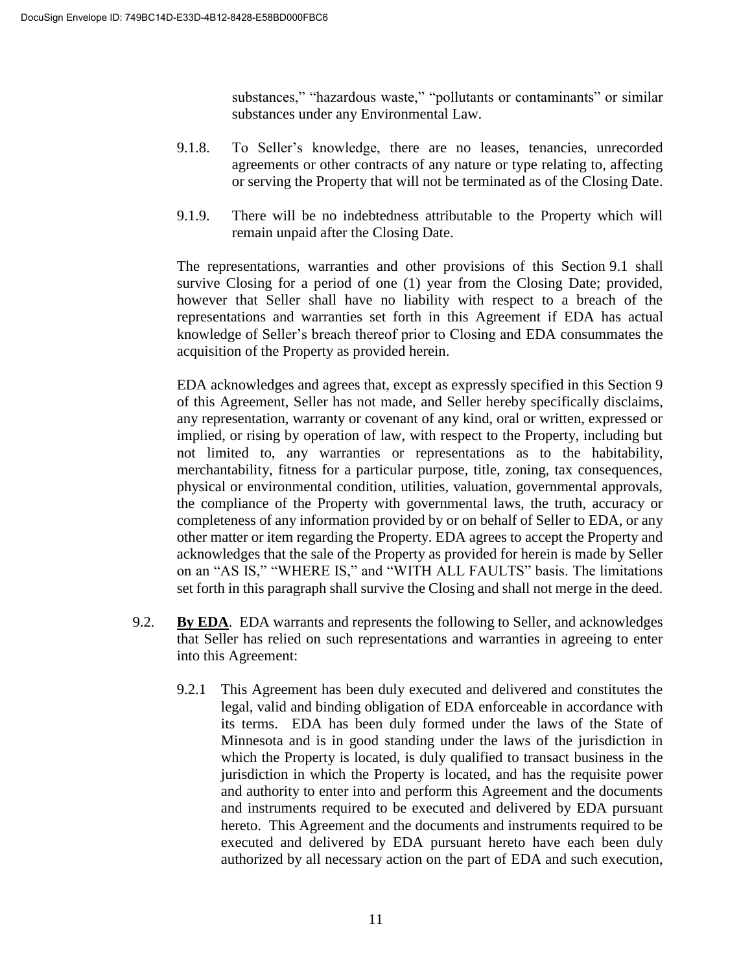substances," "hazardous waste," "pollutants or contaminants" or similar substances under any Environmental Law.

- 9.1.8. To Seller's knowledge, there are no leases, tenancies, unrecorded agreements or other contracts of any nature or type relating to, affecting or serving the Property that will not be terminated as of the Closing Date.
- 9.1.9. There will be no indebtedness attributable to the Property which will remain unpaid after the Closing Date.

The representations, warranties and other provisions of this Section 9.1 shall survive Closing for a period of one (1) year from the Closing Date; provided, however that Seller shall have no liability with respect to a breach of the representations and warranties set forth in this Agreement if EDA has actual knowledge of Seller's breach thereof prior to Closing and EDA consummates the acquisition of the Property as provided herein.

EDA acknowledges and agrees that, except as expressly specified in this Section 9 of this Agreement, Seller has not made, and Seller hereby specifically disclaims, any representation, warranty or covenant of any kind, oral or written, expressed or implied, or rising by operation of law, with respect to the Property, including but not limited to, any warranties or representations as to the habitability, merchantability, fitness for a particular purpose, title, zoning, tax consequences, physical or environmental condition, utilities, valuation, governmental approvals, the compliance of the Property with governmental laws, the truth, accuracy or completeness of any information provided by or on behalf of Seller to EDA, or any other matter or item regarding the Property. EDA agrees to accept the Property and acknowledges that the sale of the Property as provided for herein is made by Seller on an "AS IS," "WHERE IS," and "WITH ALL FAULTS" basis. The limitations set forth in this paragraph shall survive the Closing and shall not merge in the deed.

- 9.2. **By EDA**. EDA warrants and represents the following to Seller, and acknowledges that Seller has relied on such representations and warranties in agreeing to enter into this Agreement:
	- 9.2.1 This Agreement has been duly executed and delivered and constitutes the legal, valid and binding obligation of EDA enforceable in accordance with its terms. EDA has been duly formed under the laws of the State of Minnesota and is in good standing under the laws of the jurisdiction in which the Property is located, is duly qualified to transact business in the jurisdiction in which the Property is located, and has the requisite power and authority to enter into and perform this Agreement and the documents and instruments required to be executed and delivered by EDA pursuant hereto. This Agreement and the documents and instruments required to be executed and delivered by EDA pursuant hereto have each been duly authorized by all necessary action on the part of EDA and such execution,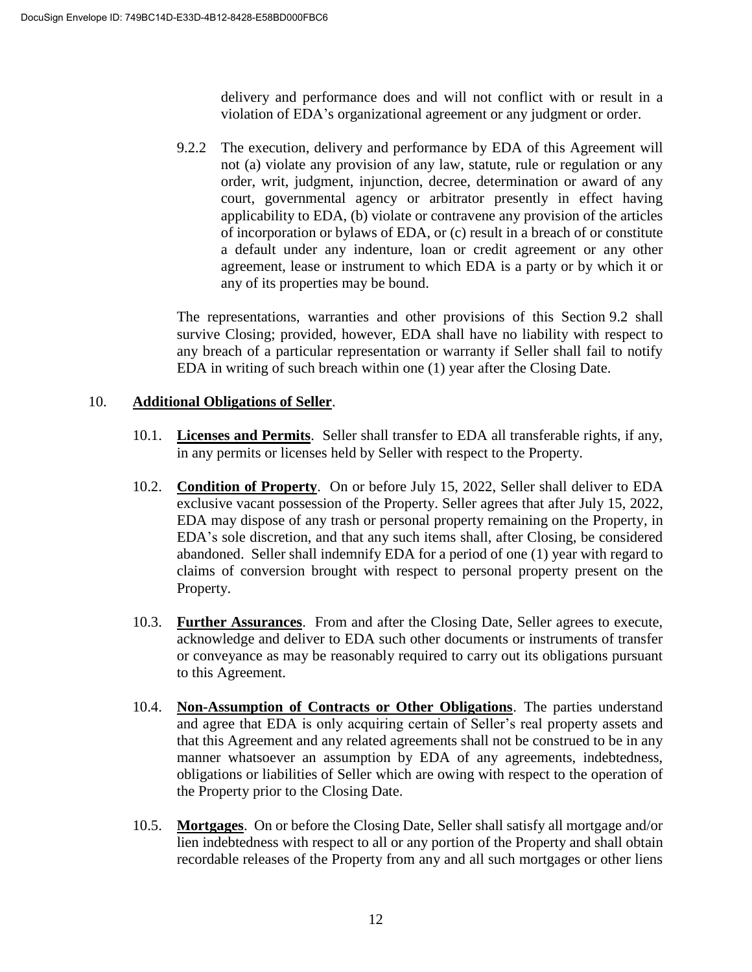delivery and performance does and will not conflict with or result in a violation of EDA's organizational agreement or any judgment or order.

9.2.2 The execution, delivery and performance by EDA of this Agreement will not (a) violate any provision of any law, statute, rule or regulation or any order, writ, judgment, injunction, decree, determination or award of any court, governmental agency or arbitrator presently in effect having applicability to EDA, (b) violate or contravene any provision of the articles of incorporation or bylaws of EDA, or (c) result in a breach of or constitute a default under any indenture, loan or credit agreement or any other agreement, lease or instrument to which EDA is a party or by which it or any of its properties may be bound.

The representations, warranties and other provisions of this Section 9.2 shall survive Closing; provided, however, EDA shall have no liability with respect to any breach of a particular representation or warranty if Seller shall fail to notify EDA in writing of such breach within one (1) year after the Closing Date.

#### 10. **Additional Obligations of Seller**.

- 10.1. **Licenses and Permits**. Seller shall transfer to EDA all transferable rights, if any, in any permits or licenses held by Seller with respect to the Property.
- 10.2. **Condition of Property**. On or before July 15, 2022, Seller shall deliver to EDA exclusive vacant possession of the Property. Seller agrees that after July 15, 2022, EDA may dispose of any trash or personal property remaining on the Property, in EDA's sole discretion, and that any such items shall, after Closing, be considered abandoned. Seller shall indemnify EDA for a period of one (1) year with regard to claims of conversion brought with respect to personal property present on the Property.
- 10.3. **Further Assurances**. From and after the Closing Date, Seller agrees to execute, acknowledge and deliver to EDA such other documents or instruments of transfer or conveyance as may be reasonably required to carry out its obligations pursuant to this Agreement.
- 10.4. **Non-Assumption of Contracts or Other Obligations**. The parties understand and agree that EDA is only acquiring certain of Seller's real property assets and that this Agreement and any related agreements shall not be construed to be in any manner whatsoever an assumption by EDA of any agreements, indebtedness, obligations or liabilities of Seller which are owing with respect to the operation of the Property prior to the Closing Date.
- 10.5. **Mortgages**. On or before the Closing Date, Seller shall satisfy all mortgage and/or lien indebtedness with respect to all or any portion of the Property and shall obtain recordable releases of the Property from any and all such mortgages or other liens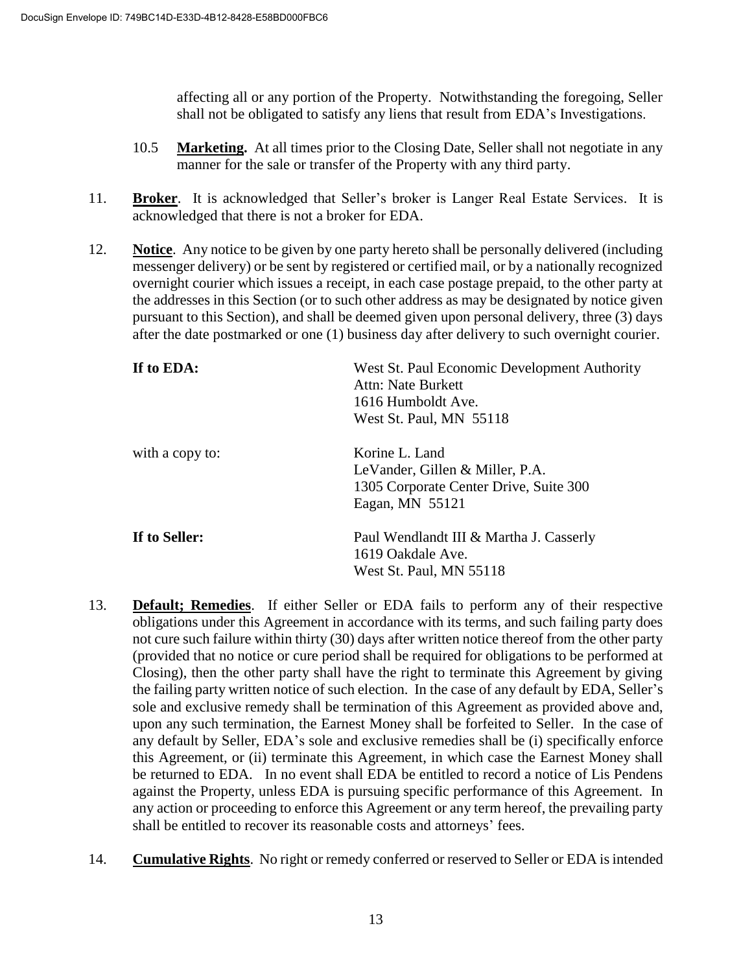affecting all or any portion of the Property. Notwithstanding the foregoing, Seller shall not be obligated to satisfy any liens that result from EDA's Investigations.

- 10.5 **Marketing.** At all times prior to the Closing Date, Seller shall not negotiate in any manner for the sale or transfer of the Property with any third party.
- 11. **Broker**. It is acknowledged that Seller's broker is Langer Real Estate Services. It is acknowledged that there is not a broker for EDA.
- 12. **Notice**. Any notice to be given by one party hereto shall be personally delivered (including messenger delivery) or be sent by registered or certified mail, or by a nationally recognized overnight courier which issues a receipt, in each case postage prepaid, to the other party at the addresses in this Section (or to such other address as may be designated by notice given pursuant to this Section), and shall be deemed given upon personal delivery, three (3) days after the date postmarked or one (1) business day after delivery to such overnight courier.

| If to EDA:      | West St. Paul Economic Development Authority<br>Attn: Nate Burkett<br>1616 Humboldt Ave.<br>West St. Paul, MN 55118 |
|-----------------|---------------------------------------------------------------------------------------------------------------------|
| with a copy to: | Korine L. Land<br>LeVander, Gillen & Miller, P.A.<br>1305 Corporate Center Drive, Suite 300<br>Eagan, MN 55121      |
| If to Seller:   | Paul Wendlandt III & Martha J. Casserly<br>1619 Oakdale Ave.<br>West St. Paul, MN 55118                             |

- 13. **Default; Remedies**. If either Seller or EDA fails to perform any of their respective obligations under this Agreement in accordance with its terms, and such failing party does not cure such failure within thirty (30) days after written notice thereof from the other party (provided that no notice or cure period shall be required for obligations to be performed at Closing), then the other party shall have the right to terminate this Agreement by giving the failing party written notice of such election. In the case of any default by EDA, Seller's sole and exclusive remedy shall be termination of this Agreement as provided above and, upon any such termination, the Earnest Money shall be forfeited to Seller. In the case of any default by Seller, EDA's sole and exclusive remedies shall be (i) specifically enforce this Agreement, or (ii) terminate this Agreement, in which case the Earnest Money shall be returned to EDA. In no event shall EDA be entitled to record a notice of Lis Pendens against the Property, unless EDA is pursuing specific performance of this Agreement. In any action or proceeding to enforce this Agreement or any term hereof, the prevailing party shall be entitled to recover its reasonable costs and attorneys' fees.
- 14. **Cumulative Rights**. No right or remedy conferred or reserved to Seller or EDA is intended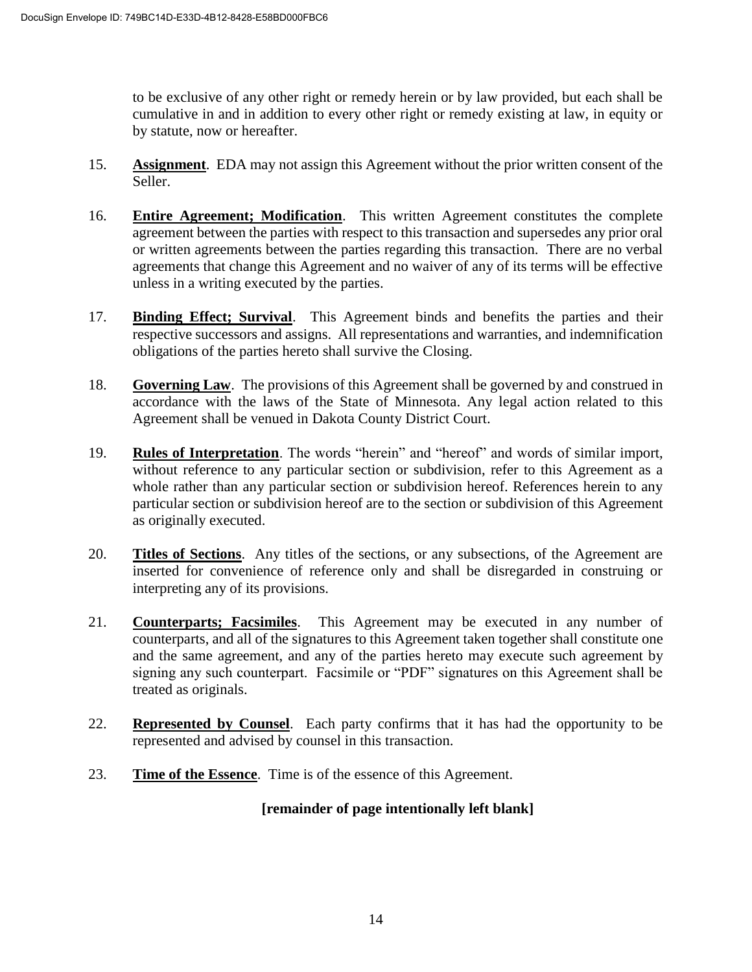to be exclusive of any other right or remedy herein or by law provided, but each shall be cumulative in and in addition to every other right or remedy existing at law, in equity or by statute, now or hereafter.

- 15. **Assignment**. EDA may not assign this Agreement without the prior written consent of the Seller.
- 16. **Entire Agreement; Modification**. This written Agreement constitutes the complete agreement between the parties with respect to this transaction and supersedes any prior oral or written agreements between the parties regarding this transaction. There are no verbal agreements that change this Agreement and no waiver of any of its terms will be effective unless in a writing executed by the parties.
- 17. **Binding Effect; Survival**. This Agreement binds and benefits the parties and their respective successors and assigns. All representations and warranties, and indemnification obligations of the parties hereto shall survive the Closing.
- 18. **Governing Law**. The provisions of this Agreement shall be governed by and construed in accordance with the laws of the State of Minnesota. Any legal action related to this Agreement shall be venued in Dakota County District Court.
- 19. **Rules of Interpretation**. The words "herein" and "hereof" and words of similar import, without reference to any particular section or subdivision, refer to this Agreement as a whole rather than any particular section or subdivision hereof. References herein to any particular section or subdivision hereof are to the section or subdivision of this Agreement as originally executed.
- 20. **Titles of Sections**. Any titles of the sections, or any subsections, of the Agreement are inserted for convenience of reference only and shall be disregarded in construing or interpreting any of its provisions.
- 21. **Counterparts; Facsimiles**. This Agreement may be executed in any number of counterparts, and all of the signatures to this Agreement taken together shall constitute one and the same agreement, and any of the parties hereto may execute such agreement by signing any such counterpart. Facsimile or "PDF" signatures on this Agreement shall be treated as originals.
- 22. **Represented by Counsel**. Each party confirms that it has had the opportunity to be represented and advised by counsel in this transaction.
- 23. **Time of the Essence**. Time is of the essence of this Agreement.

# **[remainder of page intentionally left blank]**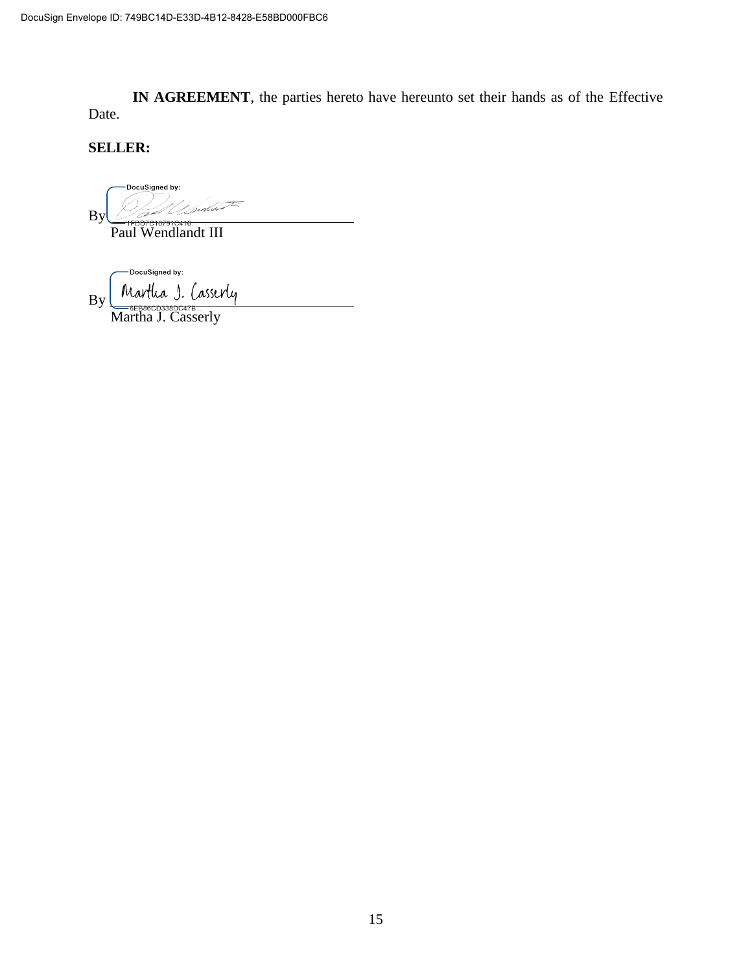**IN AGREEMENT**, the parties hereto have hereunto set their hands as of the Effective Date.

**SELLER:**

DocuSigned by: By

Paul Wendlandt III

DocuSigned by: Martha J. Casserly By

Martha J. Casserly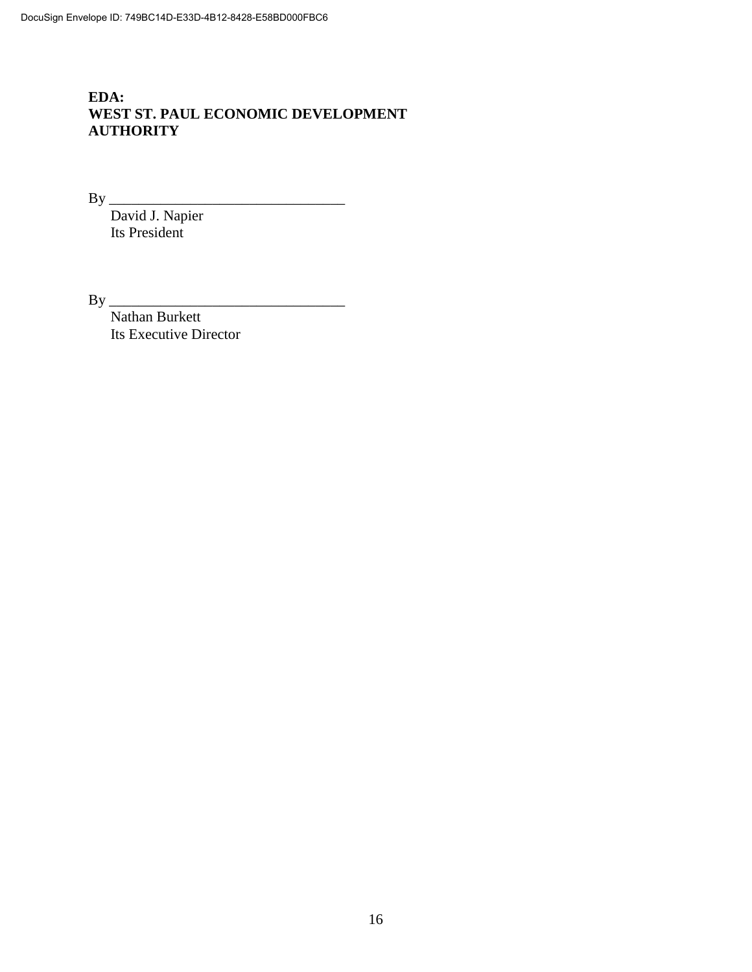# **EDA: WEST ST. PAUL ECONOMIC DEVELOPMENT AUTHORITY**

By \_\_\_\_\_\_\_\_\_\_\_\_\_\_\_\_\_\_\_\_\_\_\_\_\_\_\_\_\_\_\_\_

David J. Napier Its President

By \_\_\_\_\_\_\_\_\_\_\_\_\_\_\_\_\_\_\_\_\_\_\_\_\_\_\_\_\_\_\_\_

Nathan Burkett Its Executive Director